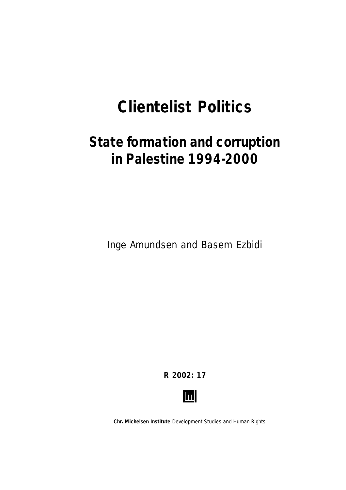# **Clientelist Politics**

# **State formation and corruption in Palestine 1994-2000**

Inge Amundsen and Basem Ezbidi

**R 2002: 17**



**Chr. Michelsen Institute** *Development Studies and Human Rights*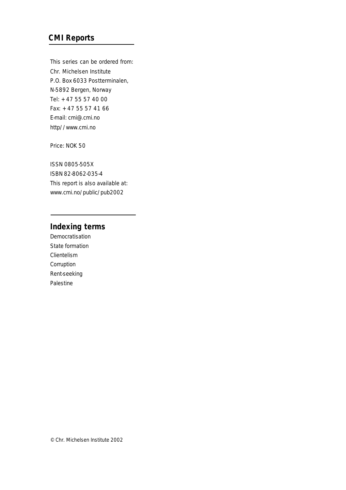## **CMI Reports**

This series can be ordered from: Chr. Michelsen Institute P.O. Box 6033 Postterminalen, N-5892 Bergen, Norway Tel: + 47 55 57 40 00 Fax: + 47 55 57 41 66 E-mail: cmi@.cmi.no http//www.cmi.no

Price: NOK 50

ISSN 0805-505X ISBN 82-8062-035-4 This report is also available at: www.cmi.no/public/pub2002

#### **Indexing terms**

Democratisation State formation Clientelism Corruption Rent-seeking Palestine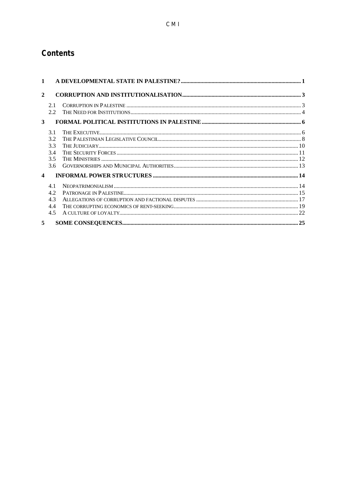## **Contents**

| $\mathbf{1}$     |            |  |  |
|------------------|------------|--|--|
| $\mathbf{2}$     |            |  |  |
|                  | 2.1<br>2.2 |  |  |
| 3                |            |  |  |
|                  | 3.1        |  |  |
|                  | 3.2        |  |  |
|                  | 3.3        |  |  |
|                  | 3.4        |  |  |
|                  | 3.5        |  |  |
|                  | 3.6        |  |  |
| $\blacktriangle$ |            |  |  |
|                  | 4.1        |  |  |
|                  | 4.2        |  |  |
|                  | 4.3        |  |  |
|                  | 4.4        |  |  |
|                  | 4.5        |  |  |
| 5                |            |  |  |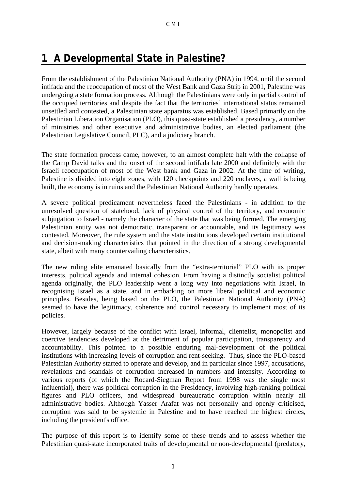## **1 A Developmental State in Palestine?**

From the establishment of the Palestinian National Authority (PNA) in 1994, until the second intifada and the reoccupation of most of the West Bank and Gaza Strip in 2001, Palestine was undergoing a state formation process. Although the Palestinians were only in partial control of the occupied territories and despite the fact that the territories' international status remained unsettled and contested, a Palestinian state apparatus was established. Based primarily on the Palestinian Liberation Organisation (PLO), this quasi-state established a presidency, a number of ministries and other executive and administrative bodies, an elected parliament (the Palestinian Legislative Council, PLC), and a judiciary branch.

The state formation process came, however, to an almost complete halt with the collapse of the Camp David talks and the onset of the second intifada late 2000 and definitely with the Israeli reoccupation of most of the West bank and Gaza in 2002. At the time of writing, Palestine is divided into eight zones, with 120 checkpoints and 220 enclaves, a wall is being built, the economy is in ruins and the Palestinian National Authority hardly operates.

A severe political predicament nevertheless faced the Palestinians - in addition to the unresolved question of statehood, lack of physical control of the territory, and economic subjugation to Israel - namely the character of the state that was being formed. The emerging Palestinian entity was not democratic, transparent or accountable, and its legitimacy was contested. Moreover, the rule system and the state institutions developed certain institutional and decision-making characteristics that pointed in the direction of a strong developmental state, albeit with many countervailing characteristics.

The new ruling elite emanated basically from the "extra-territorial" PLO with its proper interests, political agenda and internal cohesion. From having a distinctly socialist political agenda originally, the PLO leadership went a long way into negotiations with Israel, in recognising Israel as a state, and in embarking on more liberal political and economic principles. Besides, being based on the PLO, the Palestinian National Authority (PNA) seemed to have the legitimacy, coherence and control necessary to implement most of its policies.

However, largely because of the conflict with Israel, informal, clientelist, monopolist and coercive tendencies developed at the detriment of popular participation, transparency and accountability. This pointed to a possible enduring mal-development of the political institutions with increasing levels of corruption and rent-seeking. Thus, since the PLO-based Palestinian Authority started to operate and develop, and in particular since 1997, accusations, revelations and scandals of corruption increased in numbers and intensity. According to various reports (of which the Rocard-Siegman Report from 1998 was the single most influential), there was political corruption in the Presidency, involving high-ranking political figures and PLO officers, and widespread bureaucratic corruption within nearly all administrative bodies. Although Yasser Arafat was not personally and openly criticised, corruption was said to be systemic in Palestine and to have reached the highest circles, including the president's office.

The purpose of this report is to identify some of these trends and to assess whether the Palestinian quasi-state incorporated traits of developmental or non-developmental (predatory,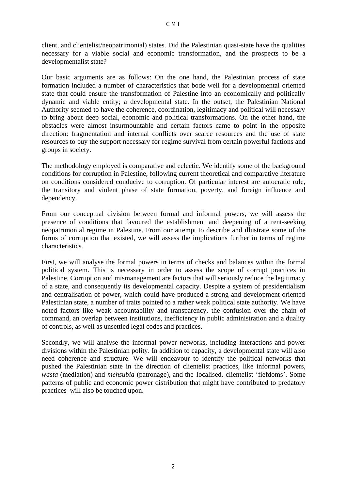client, and clientelist/neopatrimonial) states. Did the Palestinian quasi-state have the qualities necessary for a viable social and economic transformation, and the prospects to be a developmentalist state?

Our basic arguments are as follows: On the one hand, the Palestinian process of state formation included a number of characteristics that bode well for a developmental oriented state that could ensure the transformation of Palestine into an economically and politically dynamic and viable entity; a developmental state. In the outset, the Palestinian National Authority seemed to have the coherence, coordination, legitimacy and political will necessary to bring about deep social, economic and political transformations. On the other hand, the obstacles were almost insurmountable and certain factors came to point in the opposite direction: fragmentation and internal conflicts over scarce resources and the use of state resources to buy the support necessary for regime survival from certain powerful factions and groups in society.

The methodology employed is comparative and eclectic. We identify some of the background conditions for corruption in Palestine, following current theoretical and comparative literature on conditions considered conducive to corruption. Of particular interest are autocratic rule, the transitory and violent phase of state formation, poverty, and foreign influence and dependency.

From our conceptual division between formal and informal powers, we will assess the presence of conditions that favoured the establishment and deepening of a rent-seeking neopatrimonial regime in Palestine. From our attempt to describe and illustrate some of the forms of corruption that existed, we will assess the implications further in terms of regime characteristics.

First, we will analyse the formal powers in terms of checks and balances within the formal political system. This is necessary in order to assess the scope of corrupt practices in Palestine. Corruption and mismanagement are factors that will seriously reduce the legitimacy of a state, and consequently its developmental capacity. Despite a system of presidentialism and centralisation of power, which could have produced a strong and development-oriented Palestinian state, a number of traits pointed to a rather weak political state authority. We have noted factors like weak accountability and transparency, the confusion over the chain of command, an overlap between institutions, inefficiency in public administration and a duality of controls, as well as unsettled legal codes and practices.

Secondly, we will analyse the informal power networks, including interactions and power divisions within the Palestinian polity. In addition to capacity, a developmental state will also need coherence and structure. We will endeavour to identify the political networks that pushed the Palestinian state in the direction of clientelist practices, like informal powers, *wasta* (mediation) and *mehsubia* (patronage), and the localised, clientelist 'fiefdoms'. Some patterns of public and economic power distribution that might have contributed to predatory practices will also be touched upon.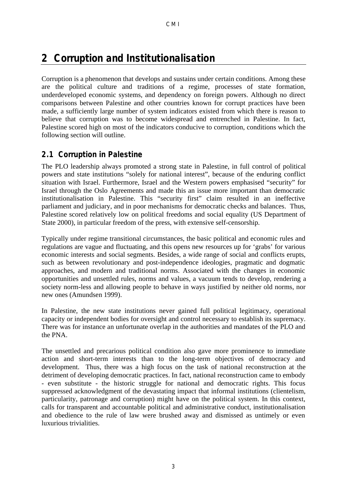# **2 Corruption and Institutionalisation**

Corruption is a phenomenon that develops and sustains under certain conditions. Among these are the political culture and traditions of a regime, processes of state formation, underdeveloped economic systems, and dependency on foreign powers. Although no direct comparisons between Palestine and other countries known for corrupt practices have been made, a sufficiently large number of system indicators existed from which there is reason to believe that corruption was to become widespread and entrenched in Palestine. In fact, Palestine scored high on most of the indicators conducive to corruption, conditions which the following section will outline.

#### **2.1 Corruption in Palestine**

The PLO leadership always promoted a strong state in Palestine, in full control of political powers and state institutions "solely for national interest", because of the enduring conflict situation with Israel. Furthermore, Israel and the Western powers emphasised "security" for Israel through the Oslo Agreements and made this an issue more important than democratic institutionalisation in Palestine. This "security first" claim resulted in an ineffective parliament and judiciary, and in poor mechanisms for democratic checks and balances. Thus, Palestine scored relatively low on political freedoms and social equality (US Department of State 2000), in particular freedom of the press, with extensive self-censorship.

Typically under regime transitional circumstances, the basic political and economic rules and regulations are vague and fluctuating, and this opens new resources up for 'grabs' for various economic interests and social segments. Besides, a wide range of social and conflicts erupts, such as between revolutionary and post-independence ideologies, pragmatic and dogmatic approaches, and modern and traditional norms. Associated with the changes in economic opportunities and unsettled rules, norms and values, a vacuum tends to develop, rendering a society norm-less and allowing people to behave in ways justified by neither old norms, nor new ones (Amundsen 1999).

In Palestine, the new state institutions never gained full political legitimacy, operational capacity or independent bodies for oversight and control necessary to establish its supremacy. There was for instance an unfortunate overlap in the authorities and mandates of the PLO and the PNA.

The unsettled and precarious political condition also gave more prominence to immediate action and short-term interests than to the long-term objectives of democracy and development. Thus, there was a high focus on the task of national reconstruction at the detriment of developing democratic practices. In fact, national reconstruction came to embody - even substitute - the historic struggle for national and democratic rights. This focus suppressed acknowledgment of the devastating impact that informal institutions (clientelism, particularity, patronage and corruption) might have on the political system. In this context, calls for transparent and accountable political and administrative conduct, institutionalisation and obedience to the rule of law were brushed away and dismissed as untimely or even luxurious trivialities.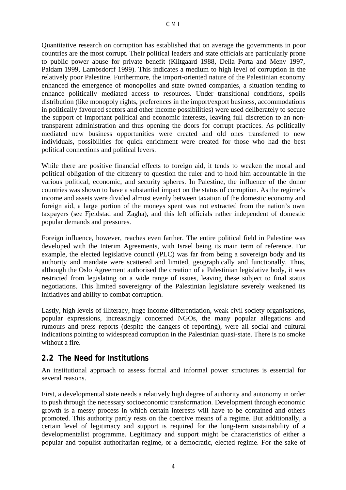Quantitative research on corruption has established that on average the governments in poor countries are the most corrupt. Their political leaders and state officials are particularly prone to public power abuse for private benefit (Klitgaard 1988, Della Porta and Meny 1997, Paldam 1999, Lambsdorff 1999). This indicates a medium to high level of corruption in the relatively poor Palestine. Furthermore, the import-oriented nature of the Palestinian economy enhanced the emergence of monopolies and state owned companies, a situation tending to enhance politically mediated access to resources. Under transitional conditions, spoils distribution (like monopoly rights, preferences in the import/export business, accommodations in politically favoured sectors and other income possibilities) were used deliberately to secure the support of important political and economic interests, leaving full discretion to an nontransparent administration and thus opening the doors for corrupt practices. As politically mediated new business opportunities were created and old ones transferred to new individuals, possibilities for quick enrichment were created for those who had the best political connections and political levers.

While there are positive financial effects to foreign aid, it tends to weaken the moral and political obligation of the citizenry to question the ruler and to hold him accountable in the various political, economic, and security spheres. In Palestine, the influence of the donor countries was shown to have a substantial impact on the status of corruption. As the regime's income and assets were divided almost evenly between taxation of the domestic economy and foreign aid, a large portion of the moneys spent was not extracted from the nation's own taxpayers (see Fjeldstad and Zagha), and this left officials rather independent of domestic popular demands and pressures.

Foreign influence, however, reaches even farther. The entire political field in Palestine was developed with the Interim Agreements, with Israel being its main term of reference. For example, the elected legislative council (PLC) was far from being a sovereign body and its authority and mandate were scattered and limited, geographically and functionally. Thus, although the Oslo Agreement authorised the creation of a Palestinian legislative body, it was restricted from legislating on a wide range of issues, leaving these subject to final status negotiations. This limited sovereignty of the Palestinian legislature severely weakened its initiatives and ability to combat corruption.

Lastly, high levels of illiteracy, huge income differentiation, weak civil society organisations, popular expressions, increasingly concerned NGOs, the many popular allegations and rumours and press reports (despite the dangers of reporting), were all social and cultural indications pointing to widespread corruption in the Palestinian quasi-state. There is no smoke without a fire.

### **2.2 The Need for Institutions**

An institutional approach to assess formal and informal power structures is essential for several reasons.

First, a developmental state needs a relatively high degree of authority and autonomy in order to push through the necessary socioeconomic transformation. Development through economic growth is a messy process in which certain interests will have to be contained and others promoted. This authority partly rests on the coercive means of a regime. But additionally, a certain level of legitimacy and support is required for the long-term sustainability of a developmentalist programme. Legitimacy and support might be characteristics of either a popular and populist authoritarian regime, or a democratic, elected regime. For the sake of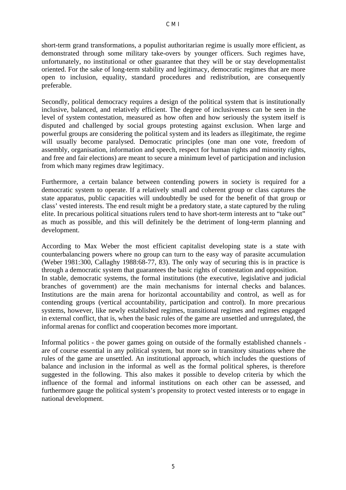short-term grand transformations, a populist authoritarian regime is usually more efficient, as demonstrated through some military take-overs by younger officers. Such regimes have, unfortunately, no institutional or other guarantee that they will be or stay developmentalist oriented. For the sake of long-term stability and legitimacy, democratic regimes that are more open to inclusion, equality, standard procedures and redistribution, are consequently preferable.

Secondly, political democracy requires a design of the political system that is institutionally inclusive, balanced, and relatively efficient. The degree of inclusiveness can be seen in the level of system contestation, measured as how often and how seriously the system itself is disputed and challenged by social groups protesting against exclusion. When large and powerful groups are considering the political system and its leaders as illegitimate, the regime will usually become paralysed. Democratic principles (one man one vote, freedom of assembly, organisation, information and speech, respect for human rights and minority rights, and free and fair elections) are meant to secure a minimum level of participation and inclusion from which many regimes draw legitimacy.

Furthermore, a certain balance between contending powers in society is required for a democratic system to operate. If a relatively small and coherent group or class captures the state apparatus, public capacities will undoubtedly be used for the benefit of that group or class' vested interests. The end result might be a predatory state, a state captured by the ruling elite. In precarious political situations rulers tend to have short-term interests ant to "take out" as much as possible, and this will definitely be the detriment of long-term planning and development.

According to Max Weber the most efficient capitalist developing state is a state with counterbalancing powers where no group can turn to the easy way of parasite accumulation (Weber 1981:300, Callaghy 1988:68-77, 83). The only way of securing this is in practice is through a democratic system that guarantees the basic rights of contestation and opposition. In stable, democratic systems, the formal institutions (the executive, legislative and judicial branches of government) are the main mechanisms for internal checks and balances. Institutions are the main arena for horizontal accountability and control, as well as for contending groups (vertical accountability, participation and control). In more precarious systems, however, like newly established regimes, transitional regimes and regimes engaged in external conflict, that is, when the basic rules of the game are unsettled and unregulated, the informal arenas for conflict and cooperation becomes more important.

Informal politics - the power games going on outside of the formally established channels are of course essential in any political system, but more so in transitory situations where the rules of the game are unsettled. An institutional approach, which includes the questions of balance and inclusion in the informal as well as the formal political spheres, is therefore suggested in the following. This also makes it possible to develop criteria by which the influence of the formal and informal institutions on each other can be assessed, and furthermore gauge the political system's propensity to protect vested interests or to engage in national development.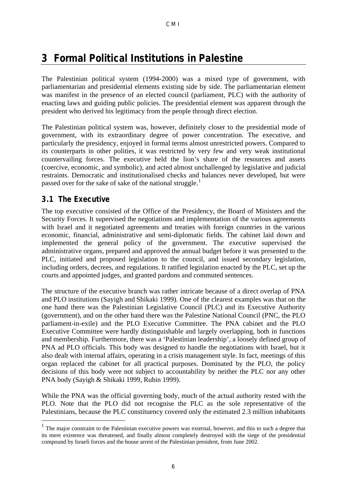## **3 Formal Political Institutions in Palestine**

The Palestinian political system (1994-2000) was a mixed type of government, with parliamentarian and presidential elements existing side by side. The parliamentarian element was manifest in the presence of an elected council (parliament, PLC) with the authority of enacting laws and guiding public policies. The presidential element was apparent through the president who derived his legitimacy from the people through direct election.

The Palestinian political system was, however, definitely closer to the presidential mode of government, with its extraordinary degree of power concentration. The executive, and particularly the presidency, enjoyed in formal terms almost unrestricted powers. Compared to its counterparts in other polities, it was restricted by very few and very weak institutional countervailing forces. The executive held the lion's share of the resources and assets (coercive, economic, and symbolic), and acted almost unchallenged by legislative and judicial restraints. Democratic and institutionalised checks and balances never developed, but were passed over for the sake of sake of the national struggle.<sup>1</sup>

#### **3.1 The Executive**

 $\overline{a}$ 

The top executive consisted of the Office of the Presidency, the Board of Ministers and the Security Forces. It supervised the negotiations and implementation of the various agreements with Israel and it negotiated agreements and treaties with foreign countries in the various economic, financial, administrative and semi-diplomatic fields. The cabinet laid down and implemented the general policy of the government. The executive supervised the administrative organs, prepared and approved the annual budget before it was presented to the PLC, initiated and proposed legislation to the council, and issued secondary legislation, including orders, decrees, and regulations. It ratified legislation enacted by the PLC, set up the courts and appointed judges, and granted pardons and commuted sentences.

The structure of the executive branch was rather intricate because of a direct overlap of PNA and PLO institutions (Sayigh and Shikaki 1999). One of the clearest examples was that on the one hand there was the Palestinian Legislative Council (PLC) and its Executive Authority (government), and on the other hand there was the Palestine National Council (PNC, the PLO parliament-in-exile) and the PLO Executive Committee. The PNA cabinet and the PLO Executive Committee were hardly distinguishable and largely overlapping, both in functions and membership. Furthermore, there was a 'Palestinian leadership', a loosely defined group of PNA ad PLO officials. This body was designed to handle the negotiations with Israel, but it also dealt with internal affairs, operating in a crisis management style. In fact, meetings of this organ replaced the cabinet for all practical purposes. Dominated by the PLO, the policy decisions of this body were not subject to accountability by neither the PLC nor any other PNA body (Sayigh & Shikaki 1999, Rubin 1999).

While the PNA was the official governing body, much of the actual authority rested with the PLO. Note that the PLO did not recognise the PLC as the sole representative of the Palestinians, because the PLC constituency covered only the estimated 2.3 million inhabitants

<sup>&</sup>lt;sup>1</sup> The major constraint to the Palestinian executive powers was external, however, and this to such a degree that its mere existence was threatened, and finally almost completely destroyed with the siege of the presidential compound by Israeli forces and the house arrest of the Palestinian president, from June 2002.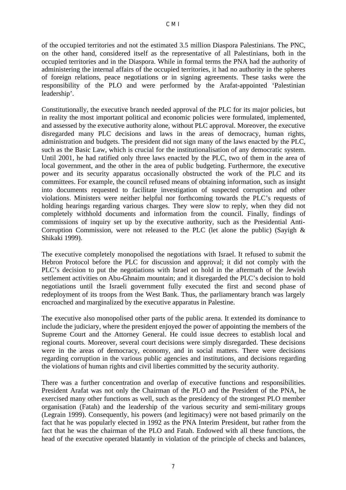of the occupied territories and not the estimated 3.5 million Diaspora Palestinians. The PNC, on the other hand, considered itself as the representative of all Palestinians, both in the occupied territories and in the Diaspora. While in formal terms the PNA had the authority of administering the internal affairs of the occupied territories, it had no authority in the spheres of foreign relations, peace negotiations or in signing agreements. These tasks were the responsibility of the PLO and were performed by the Arafat-appointed 'Palestinian leadership'.

Constitutionally, the executive branch needed approval of the PLC for its major policies, but in reality the most important political and economic policies were formulated, implemented, and assessed by the executive authority alone, without PLC approval. Moreover, the executive disregarded many PLC decisions and laws in the areas of democracy, human rights, administration and budgets. The president did not sign many of the laws enacted by the PLC, such as the Basic Law, which is crucial for the institutionalisation of any democratic system. Until 2001, he had ratified only three laws enacted by the PLC, two of them in the area of local government, and the other in the area of public budgeting. Furthermore, the executive power and its security apparatus occasionally obstructed the work of the PLC and its committees. For example, the council refused means of obtaining information, such as insight into documents requested to facilitate investigation of suspected corruption and other violations. Ministers were neither helpful nor forthcoming towards the PLC's requests of holding hearings regarding various charges. They were slow to reply, when they did not completely withhold documents and information from the council. Finally, findings of commissions of inquiry set up by the executive authority, such as the Presidential Anti-Corruption Commission, were not released to the PLC (let alone the public) (Sayigh & Shikaki 1999).

The executive completely monopolised the negotiations with Israel. It refused to submit the Hebron Protocol before the PLC for discussion and approval; it did not comply with the PLC's decision to put the negotiations with Israel on hold in the aftermath of the Jewish settlement activities on Abu-Ghnaim mountain; and it disregarded the PLC's decision to hold negotiations until the Israeli government fully executed the first and second phase of redeployment of its troops from the West Bank. Thus, the parliamentary branch was largely encroached and marginalized by the executive apparatus in Palestine.

The executive also monopolised other parts of the public arena. It extended its dominance to include the judiciary, where the president enjoyed the power of appointing the members of the Supreme Court and the Attorney General. He could issue decrees to establish local and regional courts. Moreover, several court decisions were simply disregarded. These decisions were in the areas of democracy, economy, and in social matters. There were decisions regarding corruption in the various public agencies and institutions, and decisions regarding the violations of human rights and civil liberties committed by the security authority.

There was a further concentration and overlap of executive functions and responsibilities. President Arafat was not only the Chairman of the PLO and the President of the PNA, he exercised many other functions as well, such as the presidency of the strongest PLO member organisation (Fatah) and the leadership of the various security and semi-military groups (Legrain 1999). Consequently, his powers (and legitimacy) were not based primarily on the fact that he was popularly elected in 1992 as the PNA Interim President, but rather from the fact that he was the chairman of the PLO and Fatah. Endowed with all these functions, the head of the executive operated blatantly in violation of the principle of checks and balances,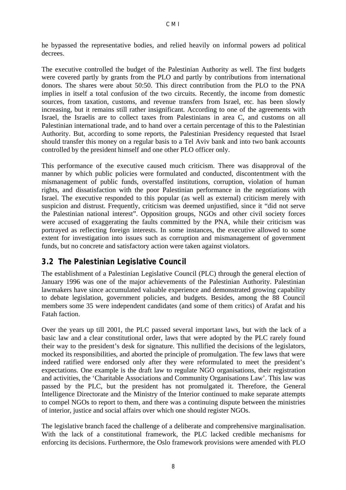he bypassed the representative bodies, and relied heavily on informal powers ad political decrees.

The executive controlled the budget of the Palestinian Authority as well. The first budgets were covered partly by grants from the PLO and partly by contributions from international donors. The shares were about 50:50. This direct contribution from the PLO to the PNA implies in itself a total confusion of the two circuits. Recently, the income from domestic sources, from taxation, customs, and revenue transfers from Israel, etc. has been slowly increasing, but it remains still rather insignificant. According to one of the agreements with Israel, the Israelis are to collect taxes from Palestinians in area C, and customs on all Palestinian international trade, and to hand over a certain percentage of this to the Palestinian Authority. But, according to some reports, the Palestinian Presidency requested that Israel should transfer this money on a regular basis to a Tel Aviv bank and into two bank accounts controlled by the president himself and one other PLO officer only.

This performance of the executive caused much criticism. There was disapproval of the manner by which public policies were formulated and conducted, discontentment with the mismanagement of public funds, overstaffed institutions, corruption, violation of human rights, and dissatisfaction with the poor Palestinian performance in the negotiations with Israel. The executive responded to this popular (as well as external) criticism merely with suspicion and distrust. Frequently, criticism was deemed unjustified, since it "did not serve the Palestinian national interest". Opposition groups, NGOs and other civil society forces were accused of exaggerating the faults committed by the PNA, while their criticism was portrayed as reflecting foreign interests. In some instances, the executive allowed to some extent for investigation into issues such as corruption and mismanagement of government funds, but no concrete and satisfactory action were taken against violators.

### **3.2 The Palestinian Legislative Council**

The establishment of a Palestinian Legislative Council (PLC) through the general election of January 1996 was one of the major achievements of the Palestinian Authority. Palestinian lawmakers have since accumulated valuable experience and demonstrated growing capability to debate legislation, government policies, and budgets. Besides, among the 88 Council members some 35 were independent candidates (and some of them critics) of Arafat and his Fatah faction.

Over the years up till 2001, the PLC passed several important laws, but with the lack of a basic law and a clear constitutional order, laws that were adopted by the PLC rarely found their way to the president's desk for signature. This nullified the decisions of the legislators, mocked its responsibilities, and aborted the principle of promulgation. The few laws that were indeed ratified were endorsed only after they were reformulated to meet the president's expectations. One example is the draft law to regulate NGO organisations, their registration and activities, the 'Charitable Associations and Community Organisations Law'. This law was passed by the PLC, but the president has not promulgated it. Therefore, the General Intelligence Directorate and the Ministry of the Interior continued to make separate attempts to compel NGOs to report to them, and there was a continuing dispute between the ministries of interior, justice and social affairs over which one should register NGOs.

The legislative branch faced the challenge of a deliberate and comprehensive marginalisation. With the lack of a constitutional framework, the PLC lacked credible mechanisms for enforcing its decisions. Furthermore, the Oslo framework provisions were amended with PLO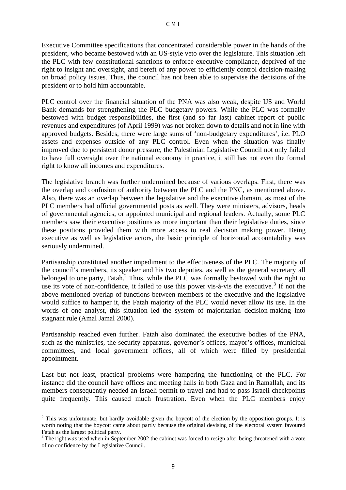Executive Committee specifications that concentrated considerable power in the hands of the president, who became bestowed with an US-style veto over the legislature. This situation left the PLC with few constitutional sanctions to enforce executive compliance, deprived of the right to insight and oversight, and bereft of any power to efficiently control decision-making on broad policy issues. Thus, the council has not been able to supervise the decisions of the president or to hold him accountable.

PLC control over the financial situation of the PNA was also weak, despite US and World Bank demands for strengthening the PLC budgetary powers. While the PLC was formally bestowed with budget responsibilities, the first (and so far last) cabinet report of public revenues and expenditures (of April 1999) was not broken down to details and not in line with approved budgets. Besides, there were large sums of 'non-budgetary expenditures', i.e. PLO assets and expenses outside of any PLC control. Even when the situation was finally improved due to persistent donor pressure, the Palestinian Legislative Council not only failed to have full oversight over the national economy in practice, it still has not even the formal right to know all incomes and expenditures.

The legislative branch was further undermined because of various overlaps. First, there was the overlap and confusion of authority between the PLC and the PNC, as mentioned above. Also, there was an overlap between the legislative and the executive domain, as most of the PLC members had official governmental posts as well. They were ministers, advisors, heads of governmental agencies, or appointed municipal and regional leaders. Actually, some PLC members saw their executive positions as more important than their legislative duties, since these positions provided them with more access to real decision making power. Being executive as well as legislative actors, the basic principle of horizontal accountability was seriously undermined.

Partisanship constituted another impediment to the effectiveness of the PLC. The majority of the council's members, its speaker and his two deputies, as well as the general secretary all belonged to one party, Fatah.<sup>2</sup> Thus, while the PLC was formally bestowed with the right to use its vote of non-confidence, it failed to use this power vis- $a$ -vis the executive.<sup>3</sup> If not the above-mentioned overlap of functions between members of the executive and the legislative would suffice to hamper it, the Fatah majority of the PLC would never allow its use. In the words of one analyst, this situation led the system of majoritarian decision-making into stagnant rule (Amal Jamal 2000).

Partisanship reached even further. Fatah also dominated the executive bodies of the PNA, such as the ministries, the security apparatus, governor's offices, mayor's offices, municipal committees, and local government offices, all of which were filled by presidential appointment.

Last but not least, practical problems were hampering the functioning of the PLC. For instance did the council have offices and meeting halls in both Gaza and in Ramallah, and its members consequently needed an Israeli permit to travel and had to pass Israeli checkpoints quite frequently. This caused much frustration. Even when the PLC members enjoy

 $\overline{a}$  $2$  This was unfortunate, but hardly avoidable given the boycott of the election by the opposition groups. It is worth noting that the boycott came about partly because the original devising of the electoral system favoured Fatah as the largest political party.

<sup>&</sup>lt;sup>3</sup> The right was used when in September 2002 the cabinet was forced to resign after being threatened with a vote of no confidence by the Legislative Council.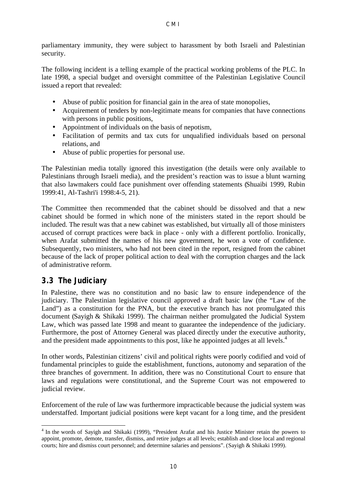parliamentary immunity, they were subject to harassment by both Israeli and Palestinian security.

The following incident is a telling example of the practical working problems of the PLC. In late 1998, a special budget and oversight committee of the Palestinian Legislative Council issued a report that revealed:

- Abuse of public position for financial gain in the area of state monopolies,
- Acquirement of tenders by non-legitimate means for companies that have connections with persons in public positions.
- Appointment of individuals on the basis of nepotism,
- Facilitation of permits and tax cuts for unqualified individuals based on personal relations, and
- Abuse of public properties for personal use.

The Palestinian media totally ignored this investigation (the details were only available to Palestinians through Israeli media), and the president's reaction was to issue a blunt warning that also lawmakers could face punishment over offending statements (Shuaibi 1999, Rubin 1999:41, Al-Tashri'i 1998:4-5, 21).

The Committee then recommended that the cabinet should be dissolved and that a new cabinet should be formed in which none of the ministers stated in the report should be included. The result was that a new cabinet was established, but virtually all of those ministers accused of corrupt practices were back in place - only with a different portfolio. Ironically, when Arafat submitted the names of his new government, he won a vote of confidence. Subsequently, two ministers, who had not been cited in the report, resigned from the cabinet because of the lack of proper political action to deal with the corruption charges and the lack of administrative reform.

#### **3.3 The Judiciary**

In Palestine, there was no constitution and no basic law to ensure independence of the judiciary. The Palestinian legislative council approved a draft basic law (the "Law of the Land") as a constitution for the PNA, but the executive branch has not promulgated this document (Sayigh & Shikaki 1999). The chairman neither promulgated the Judicial System Law, which was passed late 1998 and meant to guarantee the independence of the judiciary. Furthermore, the post of Attorney General was placed directly under the executive authority, and the president made appointments to this post, like he appointed judges at all levels.<sup>4</sup>

In other words, Palestinian citizens' civil and political rights were poorly codified and void of fundamental principles to guide the establishment, functions, autonomy and separation of the three branches of government. In addition, there was no Constitutional Court to ensure that laws and regulations were constitutional, and the Supreme Court was not empowered to judicial review.

Enforcement of the rule of law was furthermore impracticable because the judicial system was understaffed. Important judicial positions were kept vacant for a long time, and the president

 $\overline{a}$ <sup>4</sup> In the words of Sayigh and Shikaki (1999), "President Arafat and his Justice Minister retain the powers to appoint, promote, demote, transfer, dismiss, and retire judges at all levels; establish and close local and regional courts; hire and dismiss court personnel; and determine salaries and pensions". (Sayigh & Shikaki 1999).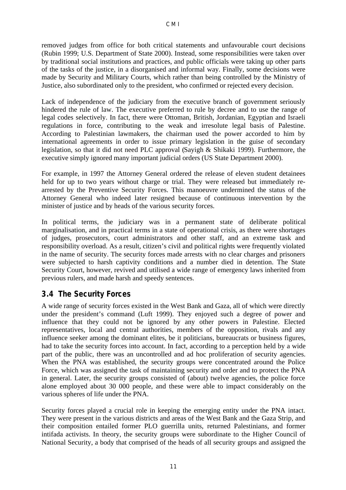removed judges from office for both critical statements and unfavourable court decisions (Rubin 1999; U.S. Department of State 2000). Instead, some responsibilities were taken over by traditional social institutions and practices, and public officials were taking up other parts of the tasks of the justice, in a disorganised and informal way. Finally, some decisions were made by Security and Military Courts, which rather than being controlled by the Ministry of Justice, also subordinated only to the president, who confirmed or rejected every decision.

Lack of independence of the judiciary from the executive branch of government seriously hindered the rule of law. The executive preferred to rule by decree and to use the range of legal codes selectively. In fact, there were Ottoman, British, Jordanian, Egyptian and Israeli regulations in force, contributing to the weak and irresolute legal basis of Palestine. According to Palestinian lawmakers, the chairman used the power accorded to him by international agreements in order to issue primary legislation in the guise of secondary legislation, so that it did not need PLC approval (Sayigh & Shikaki 1999). Furthermore, the executive simply ignored many important judicial orders (US State Department 2000).

For example, in 1997 the Attorney General ordered the release of eleven student detainees held for up to two years without charge or trial. They were released but immediately rearrested by the Preventive Security Forces. This manoeuvre undermined the status of the Attorney General who indeed later resigned because of continuous intervention by the minister of justice and by heads of the various security forces.

In political terms, the judiciary was in a permanent state of deliberate political marginalisation, and in practical terms in a state of operational crisis, as there were shortages of judges, prosecutors, court administrators and other staff, and an extreme task and responsibility overload. As a result, citizen's civil and political rights were frequently violated in the name of security. The security forces made arrests with no clear charges and prisoners were subjected to harsh captivity conditions and a number died in detention. The State Security Court, however, revived and utilised a wide range of emergency laws inherited from previous rulers, and made harsh and speedy sentences.

### **3.4 The Security Forces**

A wide range of security forces existed in the West Bank and Gaza, all of which were directly under the president's command (Luft 1999). They enjoyed such a degree of power and influence that they could not be ignored by any other powers in Palestine. Elected representatives, local and central authorities, members of the opposition, rivals and any influence seeker among the dominant elites, be it politicians, bureaucrats or business figures, had to take the security forces into account. In fact, according to a perception held by a wide part of the public, there was an uncontrolled and ad hoc proliferation of security agencies. When the PNA was established, the security groups were concentrated around the Police Force, which was assigned the task of maintaining security and order and to protect the PNA in general. Later, the security groups consisted of (about) twelve agencies, the police force alone employed about 30 000 people, and these were able to impact considerably on the various spheres of life under the PNA.

Security forces played a crucial role in keeping the emerging entity under the PNA intact. They were present in the various districts and areas of the West Bank and the Gaza Strip, and their composition entailed former PLO guerrilla units, returned Palestinians, and former intifada activists. In theory, the security groups were subordinate to the Higher Council of National Security, a body that comprised of the heads of all security groups and assigned the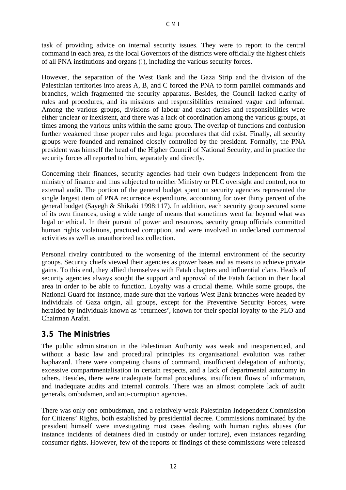task of providing advice on internal security issues. They were to report to the central command in each area, as the local Governors of the districts were officially the highest chiefs of all PNA institutions and organs (!), including the various security forces.

However, the separation of the West Bank and the Gaza Strip and the division of the Palestinian territories into areas A, B, and C forced the PNA to form parallel commands and branches, which fragmented the security apparatus. Besides, the Council lacked clarity of rules and procedures, and its missions and responsibilities remained vague and informal. Among the various groups, divisions of labour and exact duties and responsibilities were either unclear or inexistent, and there was a lack of coordination among the various groups, at times among the various units within the same group. The overlap of functions and confusion further weakened those proper rules and legal procedures that did exist. Finally, all security groups were founded and remained closely controlled by the president. Formally, the PNA president was himself the head of the Higher Council of National Security, and in practice the security forces all reported to him, separately and directly.

Concerning their finances, security agencies had their own budgets independent from the ministry of finance and thus subjected to neither Ministry or PLC oversight and control, nor to external audit. The portion of the general budget spent on security agencies represented the single largest item of PNA recurrence expenditure, accounting for over thirty percent of the general budget (Sayegh & Shikaki 1998:117). In addition, each security group secured some of its own finances, using a wide range of means that sometimes went far beyond what was legal or ethical. In their pursuit of power and resources, security group officials committed human rights violations, practiced corruption, and were involved in undeclared commercial activities as well as unauthorized tax collection.

Personal rivalry contributed to the worsening of the internal environment of the security groups. Security chiefs viewed their agencies as power bases and as means to achieve private gains. To this end, they allied themselves with Fatah chapters and influential clans. Heads of security agencies always sought the support and approval of the Fatah faction in their local area in order to be able to function. Loyalty was a crucial theme. While some groups, the National Guard for instance, made sure that the various West Bank branches were headed by individuals of Gaza origin, all groups, except for the Preventive Security Forces, were heralded by individuals known as 'returnees', known for their special loyalty to the PLO and Chairman Arafat.

#### **3.5 The Ministries**

The public administration in the Palestinian Authority was weak and inexperienced, and without a basic law and procedural principles its organisational evolution was rather haphazard. There were competing chains of command, insufficient delegation of authority, excessive compartmentalisation in certain respects, and a lack of departmental autonomy in others. Besides, there were inadequate formal procedures, insufficient flows of information, and inadequate audits and internal controls. There was an almost complete lack of audit generals, ombudsmen, and anti-corruption agencies.

There was only one ombudsman, and a relatively weak Palestinian Independent Commission for Citizens' Rights, both established by presidential decree. Commissions nominated by the president himself were investigating most cases dealing with human rights abuses (for instance incidents of detainees died in custody or under torture), even instances regarding consumer rights. However, few of the reports or findings of these commissions were released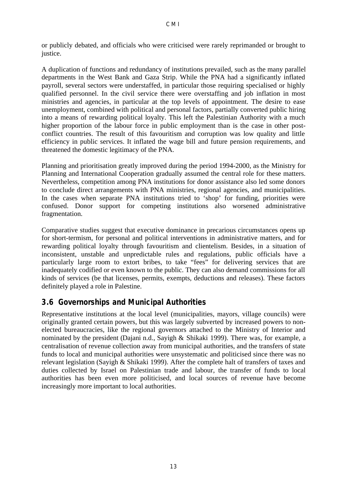or publicly debated, and officials who were criticised were rarely reprimanded or brought to justice.

A duplication of functions and redundancy of institutions prevailed, such as the many parallel departments in the West Bank and Gaza Strip. While the PNA had a significantly inflated payroll, several sectors were understaffed, in particular those requiring specialised or highly qualified personnel. In the civil service there were overstaffing and job inflation in most ministries and agencies, in particular at the top levels of appointment. The desire to ease unemployment, combined with political and personal factors, partially converted public hiring into a means of rewarding political loyalty. This left the Palestinian Authority with a much higher proportion of the labour force in public employment than is the case in other postconflict countries. The result of this favouritism and corruption was low quality and little efficiency in public services. It inflated the wage bill and future pension requirements, and threatened the domestic legitimacy of the PNA.

Planning and prioritisation greatly improved during the period 1994-2000, as the Ministry for Planning and International Cooperation gradually assumed the central role for these matters. Nevertheless, competition among PNA institutions for donor assistance also led some donors to conclude direct arrangements with PNA ministries, regional agencies, and municipalities. In the cases when separate PNA institutions tried to 'shop' for funding, priorities were confused. Donor support for competing institutions also worsened administrative fragmentation.

Comparative studies suggest that executive dominance in precarious circumstances opens up for short-termism, for personal and political interventions in administrative matters, and for rewarding political loyalty through favouritism and clientelism. Besides, in a situation of inconsistent, unstable and unpredictable rules and regulations, public officials have a particularly large room to extort bribes, to take "fees" for delivering services that are inadequately codified or even known to the public. They can also demand commissions for all kinds of services (be that licenses, permits, exempts, deductions and releases). These factors definitely played a role in Palestine.

#### **3.6 Governorships and Municipal Authorities**

Representative institutions at the local level (municipalities, mayors, village councils) were originally granted certain powers, but this was largely subverted by increased powers to nonelected bureaucracies, like the regional governors attached to the Ministry of Interior and nominated by the president (Dajani n.d., Sayigh & Shikaki 1999). There was, for example, a centralisation of revenue collection away from municipal authorities, and the transfers of state funds to local and municipal authorities were unsystematic and politicised since there was no relevant legislation (Sayigh & Shikaki 1999). After the complete halt of transfers of taxes and duties collected by Israel on Palestinian trade and labour, the transfer of funds to local authorities has been even more politicised, and local sources of revenue have become increasingly more important to local authorities.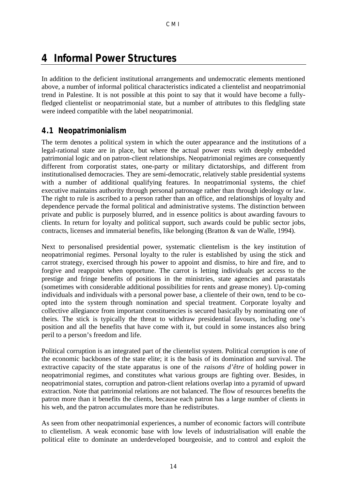## **4 Informal Power Structures**

In addition to the deficient institutional arrangements and undemocratic elements mentioned above, a number of informal political characteristics indicated a clientelist and neopatrimonial trend in Palestine. It is not possible at this point to say that it would have become a fullyfledged clientelist or neopatrimonial state, but a number of attributes to this fledgling state were indeed compatible with the label neopatrimonial.

#### **4.1 Neopatrimonialism**

The term denotes a political system in which the outer appearance and the institutions of a legal-rational state are in place, but where the actual power rests with deeply embedded patrimonial logic and on patron-client relationships. Neopatrimonial regimes are consequently different from corporatist states, one-party or military dictatorships, and different from institutionalised democracies. They are semi-democratic, relatively stable presidential systems with a number of additional qualifying features. In neopatrimonial systems, the chief executive maintains authority through personal patronage rather than through ideology or law. The right to rule is ascribed to a person rather than an office, and relationships of loyalty and dependence pervade the formal political and administrative systems. The distinction between private and public is purposely blurred, and in essence politics is about awarding favours to clients. In return for loyalty and political support, such awards could be public sector jobs, contracts, licenses and immaterial benefits, like belonging (Bratton & van de Walle, 1994).

Next to personalised presidential power, systematic clientelism is the key institution of neopatrimonial regimes. Personal loyalty to the ruler is established by using the stick and carrot strategy, exercised through his power to appoint and dismiss, to hire and fire, and to forgive and reappoint when opportune. The carrot is letting individuals get access to the prestige and fringe benefits of positions in the ministries, state agencies and parastatals (sometimes with considerable additional possibilities for rents and grease money). Up-coming individuals and individuals with a personal power base, a clientele of their own, tend to be coopted into the system through nomination and special treatment. Corporate loyalty and collective allegiance from important constituencies is secured basically by nominating one of theirs. The stick is typically the threat to withdraw presidential favours, including one's position and all the benefits that have come with it, but could in some instances also bring peril to a person's freedom and life.

Political corruption is an integrated part of the clientelist system. Political corruption is one of the economic backbones of the state elite; it is the basis of its domination and survival. The extractive capacity of the state apparatus is one of the *raisons d'être* of holding power in neopatrimonial regimes, and constitutes what various groups are fighting over. Besides, in neopatrimonial states, corruption and patron-client relations overlap into a pyramid of upward extraction. Note that patrimonial relations are not balanced. The flow of resources benefits the patron more than it benefits the clients, because each patron has a large number of clients in his web, and the patron accumulates more than he redistributes.

As seen from other neopatrimonial experiences, a number of economic factors will contribute to clientelism. A weak economic base with low levels of industrialisation will enable the political elite to dominate an underdeveloped bourgeoisie, and to control and exploit the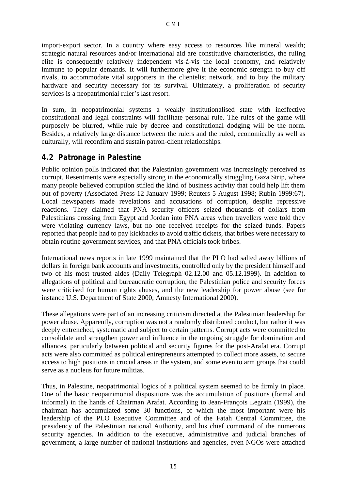import-export sector. In a country where easy access to resources like mineral wealth; strategic natural resources and/or international aid are constitutive characteristics, the ruling elite is consequently relatively independent vis-à-vis the local economy, and relatively immune to popular demands. It will furthermore give it the economic strength to buy off rivals, to accommodate vital supporters in the clientelist network, and to buy the military hardware and security necessary for its survival. Ultimately, a proliferation of security services is a neopatrimonial ruler's last resort.

In sum, in neopatrimonial systems a weakly institutionalised state with ineffective constitutional and legal constraints will facilitate personal rule. The rules of the game will purposely be blurred, while rule by decree and constitutional dodging will be the norm. Besides, a relatively large distance between the rulers and the ruled, economically as well as culturally, will reconfirm and sustain patron-client relationships.

#### **4.2 Patronage in Palestine**

Public opinion polls indicated that the Palestinian government was increasingly perceived as corrupt. Resentments were especially strong in the economically struggling Gaza Strip, where many people believed corruption stifled the kind of business activity that could help lift them out of poverty (Associated Press 12 January 1999; Reuters 5 August 1998; Rubin 1999:67). Local newspapers made revelations and accusations of corruption, despite repressive reactions. They claimed that PNA security officers seized thousands of dollars from Palestinians crossing from Egypt and Jordan into PNA areas when travellers were told they were violating currency laws, but no one received receipts for the seized funds. Papers reported that people had to pay kickbacks to avoid traffic tickets, that bribes were necessary to obtain routine government services, and that PNA officials took bribes.

International news reports in late 1999 maintained that the PLO had salted away billions of dollars in foreign bank accounts and investments, controlled only by the president himself and two of his most trusted aides (Daily Telegraph 02.12.00 and 05.12.1999). In addition to allegations of political and bureaucratic corruption, the Palestinian police and security forces were criticised for human rights abuses, and the new leadership for power abuse (see for instance U.S. Department of State 2000; Amnesty International 2000).

These allegations were part of an increasing criticism directed at the Palestinian leadership for power abuse. Apparently, corruption was not a randomly distributed conduct, but rather it was deeply entrenched, systematic and subject to certain patterns. Corrupt acts were committed to consolidate and strengthen power and influence in the ongoing struggle for domination and alliances, particularly between political and security figures for the post-Arafat era. Corrupt acts were also committed as political entrepreneurs attempted to collect more assets, to secure access to high positions in crucial areas in the system, and some even to arm groups that could serve as a nucleus for future militias.

Thus, in Palestine, neopatrimonial logics of a political system seemed to be firmly in place. One of the basic neopatrimonial dispositions was the accumulation of positions (formal and informal) in the hands of Chairman Arafat. According to Jean-François Legrain (1999), the chairman has accumulated some 30 functions, of which the most important were his leadership of the PLO Executive Committee and of the Fatah Central Committee, the presidency of the Palestinian national Authority, and his chief command of the numerous security agencies. In addition to the executive, administrative and judicial branches of government, a large number of national institutions and agencies, even NGOs were attached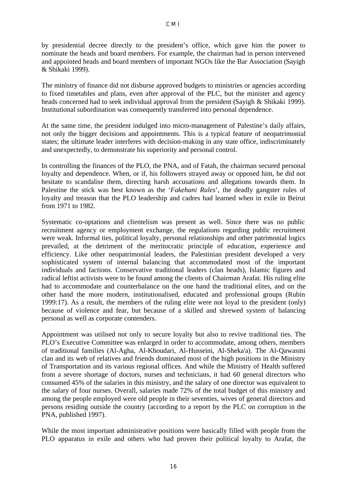by presidential decree directly to the president's office, which gave him the power to nominate the heads and board members. For example, the chairman had in person intervened and appointed heads and board members of important NGOs like the Bar Association (Sayigh & Shikaki 1999).

The ministry of finance did not disburse approved budgets to ministries or agencies according to fixed timetables and plans, even after approval of the PLC, but the minister and agency heads concerned had to seek individual approval from the president (Sayigh & Shikaki 1999). Institutional subordination was consequently transferred into personal dependence.

At the same time, the president indulged into micro-management of Palestine's daily affairs, not only the bigger decisions and appointments. This is a typical feature of neopatrimonial states; the ultimate leader interferes with decision-making in any state office, indiscriminately and unexpectedly, to demonstrate his superiority and personal control.

In controlling the finances of the PLO, the PNA, and of Fatah, the chairman secured personal loyalty and dependence. When, or if, his followers strayed away or opposed him, he did not hesitate to scandalise them, directing harsh accusations and allegations towards them. In Palestine the stick was best known as the '*Fakehani Rules*', the deadly gangster rules of loyalty and treason that the PLO leadership and cadres had learned when in exile in Beirut from 1971 to 1982.

Systematic co-optations and clientelism was present as well. Since there was no public recruitment agency or employment exchange, the regulations regarding public recruitment were weak. Informal ties, political loyalty, personal relationships and other patrimonial logics prevailed, at the detriment of the meritocratic principle of education, experience and efficiency. Like other neopatrimonial leaders, the Palestinian president developed a very sophisticated system of internal balancing that accommodated most of the important individuals and factions. Conservative traditional leaders (clan heads), Islamic figures and radical leftist activists were to be found among the clients of Chairman Arafat. His ruling elite had to accommodate and counterbalance on the one hand the traditional elites, and on the other hand the more modern, institutionalised, educated and professional groups (Rubin 1999:17). As a result, the members of the ruling elite were not loyal to the president (only) because of violence and fear, but because of a skilled and shrewed system of balancing personal as well as corporate contenders.

Appointment was utilised not only to secure loyalty but also to revive traditional ties. The PLO's Executive Committee was enlarged in order to accommodate, among others, members of traditional families (Al-Agha, Al-Khoudari, Al-Husseini, Al-Sheka'a). The Al-Qawasmi clan and its web of relatives and friends dominated most of the high positions in the Ministry of Transportation and its various regional offices. And while the Ministry of Health suffered from a severe shortage of doctors, nurses and technicians, it had 60 general directors who consumed 45% of the salaries in this ministry, and the salary of one director was equivalent to the salary of four nurses. Overall, salaries made 72% of the total budget of this ministry and among the people employed were old people in their seventies, wives of general directors and persons residing outside the country (according to a report by the PLC on corruption in the PNA, published 1997).

While the most important administrative positions were basically filled with people from the PLO apparatus in exile and others who had proven their political loyalty to Arafat, the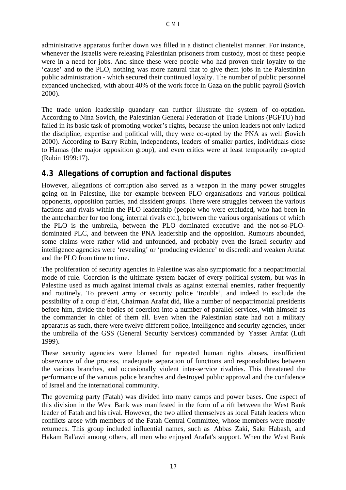administrative apparatus further down was filled in a distinct clientelist manner. For instance, whenever the Israelis were releasing Palestinian prisoners from custody, most of these people were in a need for jobs. And since these were people who had proven their loyalty to the 'cause' and to the PLO, nothing was more natural that to give them jobs in the Palestinian public administration - which secured their continued loyalty. The number of public personnel expanded unchecked, with about 40% of the work force in Gaza on the public payroll (Sovich 2000).

The trade union leadership quandary can further illustrate the system of co-optation. According to Nina Sovich, the Palestinian General Federation of Trade Unions (PGFTU) had failed in its basic task of promoting worker's rights, because the union leaders not only lacked the discipline, expertise and political will, they were co-opted by the PNA as well (Sovich 2000). According to Barry Rubin, independents, leaders of smaller parties, individuals close to Hamas (the major opposition group), and even critics were at least temporarily co-opted (Rubin 1999:17).

#### **4.3 Allegations of corruption and factional disputes**

However, allegations of corruption also served as a weapon in the many power struggles going on in Palestine, like for example between PLO organisations and various political opponents, opposition parties, and dissident groups. There were struggles between the various factions and rivals within the PLO leadership (people who were excluded, who had been in the antechamber for too long, internal rivals etc.), between the various organisations of which the PLO is the umbrella, between the PLO dominated executive and the not-so-PLOdominated PLC, and between the PNA leadership and the opposition. Rumours abounded, some claims were rather wild and unfounded, and probably even the Israeli security and intelligence agencies were 'revealing' or 'producing evidence' to discredit and weaken Arafat and the PLO from time to time.

The proliferation of security agencies in Palestine was also symptomatic for a neopatrimonial mode of rule. Coercion is the ultimate system backer of every political system, but was in Palestine used as much against internal rivals as against external enemies, rather frequently and routinely. To prevent army or security police 'trouble', and indeed to exclude the possibility of a coup d'état, Chairman Arafat did, like a number of neopatrimonial presidents before him, divide the bodies of coercion into a number of parallel services, with himself as the commander in chief of them all. Even when the Palestinian state had not a military apparatus as such, there were twelve different police, intelligence and security agencies, under the umbrella of the GSS (General Security Services) commanded by Yasser Arafat (Luft 1999).

These security agencies were blamed for repeated human rights abuses, insufficient observance of due process, inadequate separation of functions and responsibilities between the various branches, and occasionally violent inter-service rivalries. This threatened the performance of the various police branches and destroyed public approval and the confidence of Israel and the international community.

The governing party (Fatah) was divided into many camps and power bases. One aspect of this division in the West Bank was manifested in the form of a rift between the West Bank leader of Fatah and his rival. However, the two allied themselves as local Fatah leaders when conflicts arose with members of the Fatah Central Committee, whose members were mostly returnees. This group included influential names, such as Abbas Zaki, Sakr Habash, and Hakam Bal'awi among others, all men who enjoyed Arafat's support. When the West Bank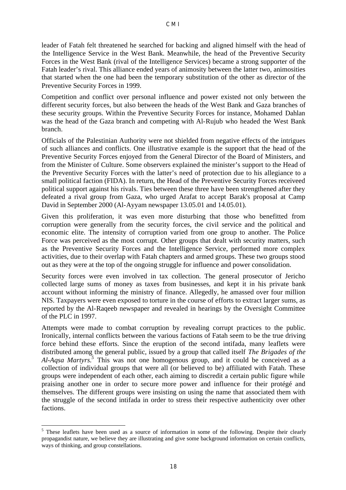leader of Fatah felt threatened he searched for backing and aligned himself with the head of the Intelligence Service in the West Bank. Meanwhile, the head of the Preventive Security Forces in the West Bank (rival of the Intelligence Services) became a strong supporter of the Fatah leader's rival. This alliance ended years of animosity between the latter two, animosities that started when the one had been the temporary substitution of the other as director of the Preventive Security Forces in 1999.

Competition and conflict over personal influence and power existed not only between the different security forces, but also between the heads of the West Bank and Gaza branches of these security groups. Within the Preventive Security Forces for instance, Mohamed Dahlan was the head of the Gaza branch and competing with Al-Rujub who headed the West Bank branch.

Officials of the Palestinian Authority were not shielded from negative effects of the intrigues of such alliances and conflicts. One illustrative example is the support that the head of the Preventive Security Forces enjoyed from the General Director of the Board of Ministers, and from the Minister of Culture. Some observers explained the minister's support to the Head of the Preventive Security Forces with the latter's need of protection due to his allegiance to a small political faction (FIDA). In return, the Head of the Preventive Security Forces receiveed political support against his rivals. Ties between these three have been strengthened after they defeated a rival group from Gaza, who urged Arafat to accept Barak's proposal at Camp David in September 2000 (Al-Ayyam newspaper 13.05.01 and 14.05.01).

Given this proliferation, it was even more disturbing that those who benefitted from corruption were generally from the security forces, the civil service and the political and economic elite. The intensity of corruption varied from one group to another. The Police Force was perceived as the most corrupt. Other groups that dealt with security matters, such as the Preventive Security Forces and the Intelligence Service, performed more complex activities, due to their overlap with Fatah chapters and armed groups. These two groups stood out as they were at the top of the ongoing struggle for influence and power consolidation.

Security forces were even involved in tax collection. The general prosecutor of Jericho collected large sums of money as taxes from businesses, and kept it in his private bank account without informing the ministry of finance. Allegedly, he amassed over four million NIS. Taxpayers were even exposed to torture in the course of efforts to extract larger sums, as reported by the Al-Raqeeb newspaper and revealed in hearings by the Oversight Committee of the PLC in 1997.

Attempts were made to combat corruption by revealing corrupt practices to the public. Ironically, internal conflicts between the various factions of Fatah seem to be the true driving force behind these efforts. Since the eruption of the second intifada, many leaflets were distributed among the general public, issued by a group that called itself *The Brigades of the Al-Aqsa Martyrs.<sup>5</sup>* This was not one homogenous group, and it could be conceived as a collection of individual groups that were all (or believed to be) affiliated with Fatah. These groups were independent of each other, each aiming to discredit a certain public figure while praising another one in order to secure more power and influence for their protégé and themselves. The different groups were insisting on using the name that associated them with the struggle of the second intifada in order to stress their respective authenticity over other factions.

 $\overline{a}$ <sup>5</sup> These leaflets have been used as a source of information in some of the following. Despite their clearly propagandist nature, we believe they are illustrating and give some background information on certain conflicts, ways of thinking, and group constellations.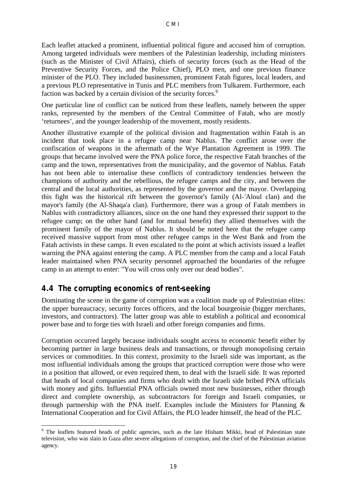Each leaflet attacked a prominent, influential political figure and accused him of corruption. Among targeted individuals were members of the Palestinian leadership, including ministers (such as the Minister of Civil Affairs), chiefs of security forces (such as the Head of the Preventive Security Forces, and the Police Chief), PLO men, and one previous finance minister of the PLO. They included businessmen, prominent Fatah figures, local leaders, and a previous PLO representative in Tunis and PLC members from Tulkarem. Furthermore, each faction was backed by a certain division of the security forces.<sup>6</sup>

One particular line of conflict can be noticed from these leaflets, namely between the upper ranks, represented by the members of the Central Committee of Fatah, who are mostly 'returnees', and the younger leadership of the movement, mostly residents.

Another illustrative example of the political division and fragmentation within Fatah is an incident that took place in a refugee camp near Nablus. The conflict arose over the confiscation of weapons in the aftermath of the Wye Plantation Agreement in 1999. The groups that became involved were the PNA police force, the respective Fatah branches of the camp and the town, representatives from the municipality, and the governor of Nablus. Fatah has not been able to internalise these conflicts of contradictory tendencies between the champions of authority and the rebellious, the refugee camps and the city, and between the central and the local authorities, as represented by the governor and the mayor. Overlapping this fight was the historical rift between the governor's family (Al-'Aloul clan) and the mayor's family (the Al-Shaqa'a clan). Furthermore, there was a group of Fatah members in Nablus with contradictory alliances, since on the one hand they expressed their support to the refugee camp; on the other hand (and for mutual benefit) they allied themselves with the prominent family of the mayor of Nablus. It should be noted here that the refugee camp received massive support from most other refugee camps in the West Bank and from the Fatah activists in these camps. It even escalated to the point at which activists issued a leaflet warning the PNA against entering the camp. A PLC member from the camp and a local Fatah leader maintained when PNA security personnel approached the boundaries of the refugee camp in an attempt to enter: "You will cross only over our dead bodies".

#### **4.4 The corrupting economics of rent-seeking**

Dominating the scene in the game of corruption was a coalition made up of Palestinian elites: the upper bureaucracy, security forces officers, and the local bourgeoisie (bigger merchants, investors, and contractors). The latter group was able to establish a political and economical power base and to forge ties with Israeli and other foreign companies and firms.

Corruption occurred largely because individuals sought access to economic benefit either by becoming partner in large business deals and transactions, or through monopolising certain services or commodities. In this context, proximity to the Israeli side was important, as the most influential individuals among the groups that practiced corruption were those who were in a position that allowed, or even required them, to deal with the Israeli side. It was reported that heads of local companies and firms who dealt with the Israeli side bribed PNA officials with money and gifts. Influential PNA officials owned most new businesses, either through direct and complete ownership, as subcontractors for foreign and Israeli companies, or through partnership with the PNA itself. Examples include the Ministers for Planning  $\&$ International Cooperation and for Civil Affairs, the PLO leader himself, the head of the PLC.

 $\overline{a}$ <sup>6</sup> The leaflets featured heads of public agencies, such as the late Hisham Mikki, head of Palestinian state television, who was slain in Gaza after severe allegations of corruption, and the chief of the Palestinian aviation agency.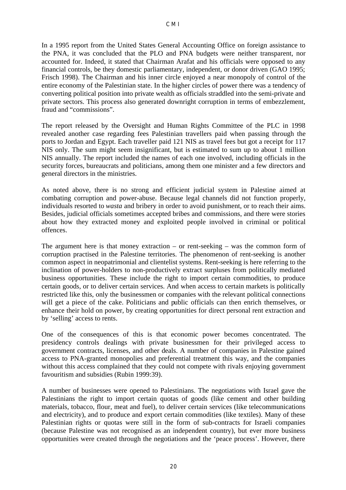In a 1995 report from the United States General Accounting Office on foreign assistance to the PNA, it was concluded that the PLO and PNA budgets were neither transparent, nor accounted for. Indeed, it stated that Chairman Arafat and his officials were opposed to any financial controls, be they domestic parliamentary, independent, or donor driven (GAO 1995; Frisch 1998). The Chairman and his inner circle enjoyed a near monopoly of control of the entire economy of the Palestinian state. In the higher circles of power there was a tendency of converting political position into private wealth as officials straddled into the semi-private and private sectors. This process also generated downright corruption in terms of embezzlement, fraud and "commissions".

The report released by the Oversight and Human Rights Committee of the PLC in 1998 revealed another case regarding fees Palestinian travellers paid when passing through the ports to Jordan and Egypt. Each traveller paid 121 NIS as travel fees but got a receipt for 117 NIS only. The sum might seem insignificant, but is estimated to sum up to about 1 million NIS annually. The report included the names of each one involved, including officials in the security forces, bureaucrats and politicians, among them one minister and a few directors and general directors in the ministries.

As noted above, there is no strong and efficient judicial system in Palestine aimed at combating corruption and power-abuse. Because legal channels did not function properly, individuals resorted to *wasta* and bribery in order to avoid punishment, or to reach their aims. Besides, judicial officials sometimes accepted bribes and commissions, and there were stories about how they extracted money and exploited people involved in criminal or political offences.

The argument here is that money extraction – or rent-seeking – was the common form of corruption practised in the Palestine territories. The phenomenon of rent-seeking is another common aspect in neopatrimonial and clientelist systems. Rent-seeking is here referring to the inclination of power-holders to non-productively extract surpluses from politically mediated business opportunities. These include the right to import certain commodities, to produce certain goods, or to deliver certain services. And when access to certain markets is politically restricted like this, only the businessmen or companies with the relevant political connections will get a piece of the cake. Politicians and public officials can then enrich themselves, or enhance their hold on power, by creating opportunities for direct personal rent extraction and by 'selling' access to rents.

One of the consequences of this is that economic power becomes concentrated. The presidency controls dealings with private businessmen for their privileged access to government contracts, licenses, and other deals. A number of companies in Palestine gained access to PNA-granted monopolies and preferential treatment this way, and the companies without this access complained that they could not compete with rivals enjoying government favouritism and subsidies (Rubin 1999:39).

A number of businesses were opened to Palestinians. The negotiations with Israel gave the Palestinians the right to import certain quotas of goods (like cement and other building materials, tobacco, flour, meat and fuel), to deliver certain services (like telecommunications and electricity), and to produce and export certain commodities (like textiles). Many of these Palestinian rights or quotas were still in the form of sub-contracts for Israeli companies (because Palestine was not recognised as an independent country), but ever more business opportunities were created through the negotiations and the 'peace process'. However, there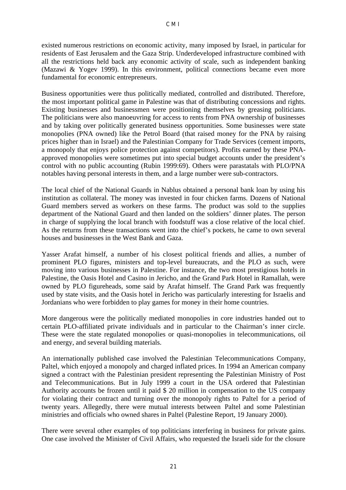existed numerous restrictions on economic activity, many imposed by Israel, in particular for residents of East Jerusalem and the Gaza Strip. Underdeveloped infrastructure combined with all the restrictions held back any economic activity of scale, such as independent banking (Mazawi & Yogev 1999). In this environment, political connections became even more fundamental for economic entrepreneurs.

Business opportunities were thus politically mediated, controlled and distributed. Therefore, the most important political game in Palestine was that of distributing concessions and rights. Existing businesses and businessmen were positioning themselves by greasing politicians. The politicians were also manoeuvring for access to rents from PNA ownership of businesses and by taking over politically generated business opportunities. Some businesses were state monopolies (PNA owned) like the Petrol Board (that raised money for the PNA by raising prices higher than in Israel) and the Palestinian Company for Trade Services (cement imports, a monopoly that enjoys police protection against competitors). Profits earned by these PNAapproved monopolies were sometimes put into special budget accounts under the president's control with no public accounting (Rubin 1999:69). Others were parastatals with PLO/PNA notables having personal interests in them, and a large number were sub-contractors.

The local chief of the National Guards in Nablus obtained a personal bank loan by using his institution as collateral. The money was invested in four chicken farms. Dozens of National Guard members served as workers on these farms. The product was sold to the supplies department of the National Guard and then landed on the soldiers' dinner plates. The person in charge of supplying the local branch with foodstuff was a close relative of the local chief. As the returns from these transactions went into the chief's pockets, he came to own several houses and businesses in the West Bank and Gaza.

Yasser Arafat himself, a number of his closest political friends and allies, a number of prominent PLO figures, ministers and top-level bureaucrats, and the PLO as such, were moving into various businesses in Palestine. For instance, the two most prestigious hotels in Palestine, the Oasis Hotel and Casino in Jericho, and the Grand Park Hotel in Ramallah, were owned by PLO figureheads, some said by Arafat himself. The Grand Park was frequently used by state visits, and the Oasis hotel in Jericho was particularly interesting for Israelis and Jordanians who were forbidden to play games for money in their home countries.

More dangerous were the politically mediated monopolies in core industries handed out to certain PLO-affiliated private individuals and in particular to the Chairman's inner circle. These were the state regulated monopolies or quasi-monopolies in telecommunications, oil and energy, and several building materials.

An internationally published case involved the Palestinian Telecommunications Company, Paltel, which enjoyed a monopoly and charged inflated prices. In 1994 an American company signed a contract with the Palestinian president representing the Palestinian Ministry of Post and Telecommunications. But in July 1999 a court in the USA ordered that Palestinian Authority accounts be frozen until it paid \$ 20 million in compensation to the US company for violating their contract and turning over the monopoly rights to Paltel for a period of twenty years. Allegedly, there were mutual interests between Paltel and some Palestinian ministries and officials who owned shares in Paltel (Palestine Report, 19 January 2000).

There were several other examples of top politicians interfering in business for private gains. One case involved the Minister of Civil Affairs, who requested the Israeli side for the closure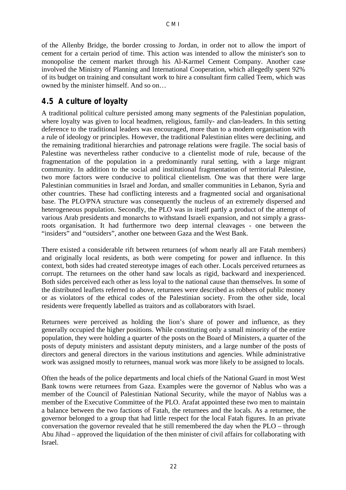of the Allenby Bridge, the border crossing to Jordan, in order not to allow the import of cement for a certain period of time. This action was intended to allow the minister's son to monopolise the cement market through his Al-Karmel Cement Company. Another case involved the Ministry of Planning and International Cooperation, which allegedly spent 92% of its budget on training and consultant work to hire a consultant firm called Teem, which was owned by the minister himself. And so on…

#### **4.5 A culture of loyalty**

A traditional political culture persisted among many segments of the Palestinian population, where loyalty was given to local headmen, religious, family- and clan-leaders. In this setting deference to the traditional leaders was encouraged, more than to a modern organisation with a rule of ideology or principles. However, the traditional Palestinian elites were declining, and the remaining traditional hierarchies and patronage relations were fragile. The social basis of Palestine was nevertheless rather conducive to a clientelist mode of rule, because of the fragmentation of the population in a predominantly rural setting, with a large migrant community. In addition to the social and institutional fragmentation of territorial Palestine, two more factors were conducive to political clientelism. One was that there were large Palestinian communities in Israel and Jordan, and smaller communities in Lebanon, Syria and other countries. These had conflicting interests and a fragmented social and organisational base. The PLO/PNA structure was consequently the nucleus of an extremely dispersed and heterogeneous population. Secondly, the PLO was in itself partly a product of the attempt of various Arab presidents and monarchs to withstand Israeli expansion, and not simply a grassroots organisation. It had furthermore two deep internal cleavages - one between the "insiders" and "outsiders", another one between Gaza and the West Bank.

There existed a considerable rift between returnees (of whom nearly all are Fatah members) and originally local residents, as both were competing for power and influence. In this context, both sides had created stereotype images of each other. Locals perceived returnees as corrupt. The returnees on the other hand saw locals as rigid, backward and inexperienced. Both sides perceived each other as less loyal to the national cause than themselves. In some of the distributed leaflets referred to above, returnees were described as robbers of public money or as violators of the ethical codes of the Palestinian society. From the other side, local residents were frequently labelled as traitors and as collaborators with Israel.

Returnees were perceived as holding the lion's share of power and influence, as they generally occupied the higher positions. While constituting only a small minority of the entire population, they were holding a quarter of the posts on the Board of Ministers, a quarter of the posts of deputy ministers and assistant deputy ministers, and a large number of the posts of directors and general directors in the various institutions and agencies. While administrative work was assigned mostly to returnees, manual work was more likely to be assigned to locals.

Often the heads of the police departments and local chiefs of the National Guard in most West Bank towns were returnees from Gaza. Examples were the governor of Nablus who was a member of the Council of Palestinian National Security, while the mayor of Nablus was a member of the Executive Committee of the PLO. Arafat appointed these two men to maintain a balance between the two factions of Fatah, the returnees and the locals. As a returnee, the governor belonged to a group that had little respect for the local Fatah figures. In an private conversation the governor revealed that he still remembered the day when the PLO – through Abu Jihad – approved the liquidation of the then minister of civil affairs for collaborating with Israel.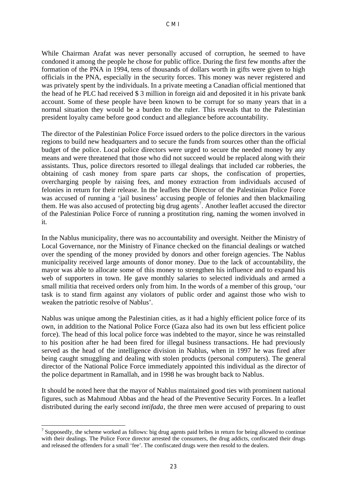While Chairman Arafat was never personally accused of corruption, he seemed to have condoned it among the people he chose for public office. During the first few months after the formation of the PNA in 1994, tens of thousands of dollars worth in gifts were given to high officials in the PNA, especially in the security forces. This money was never registered and was privately spent by the individuals. In a private meeting a Canadian official mentioned that the head of he PLC had received \$ 3 million in foreign aid and deposited it in his private bank account. Some of these people have been known to be corrupt for so many years that in a normal situation they would be a burden to the ruler. This reveals that to the Palestinian president loyalty came before good conduct and allegiance before accountability.

The director of the Palestinian Police Force issued orders to the police directors in the various regions to build new headquarters and to secure the funds from sources other than the official budget of the police. Local police directors were urged to secure the needed money by any means and were threatened that those who did not succeed would be replaced along with their assistants. Thus, police directors resorted to illegal dealings that included car robberies, the obtaining of cash money from spare parts car shops, the confiscation of properties, overcharging people by raising fees, and money extraction from individuals accused of felonies in return for their release. In the leaflets the Director of the Palestinian Police Force was accused of running a 'jail business' accusing people of felonies and then blackmailing them. He was also accused of protecting big drug agents<sup>7</sup>. Another leaflet accused the director of the Palestinian Police Force of running a prostitution ring, naming the women involved in it.

In the Nablus municipality, there was no accountability and oversight. Neither the Ministry of Local Governance, nor the Ministry of Finance checked on the financial dealings or watched over the spending of the money provided by donors and other foreign agencies. The Nablus municipality received large amounts of donor money. Due to the lack of accountability, the mayor was able to allocate some of this money to strengthen his influence and to expand his web of supporters in town. He gave monthly salaries to selected individuals and armed a small militia that received orders only from him. In the words of a member of this group, 'our task is to stand firm against any violators of public order and against those who wish to weaken the patriotic resolve of Nablus'.

Nablus was unique among the Palestinian cities, as it had a highly efficient police force of its own, in addition to the National Police Force (Gaza also had its own but less efficient police force). The head of this local police force was indebted to the mayor, since he was reinstalled to his position after he had been fired for illegal business transactions. He had previously served as the head of the intelligence division in Nablus, when in 1997 he was fired after being caught smuggling and dealing with stolen products (personal computers). The general director of the National Police Force immediately appointed this individual as the director of the police department in Ramallah, and in 1998 he was brought back to Nablus.

It should be noted here that the mayor of Nablus maintained good ties with prominent national figures, such as Mahmoud Abbas and the head of the Preventive Security Forces. In a leaflet distributed during the early second *intifada*, the three men were accused of preparing to oust

 $\overline{a}$ <sup>7</sup> Supposedly, the scheme worked as follows: big drug agents paid bribes in return for being allowed to continue with their dealings. The Police Force director arrested the consumers, the drug addicts, confiscated their drugs and released the offenders for a small 'fee'. The confiscated drugs were then resold to the dealers.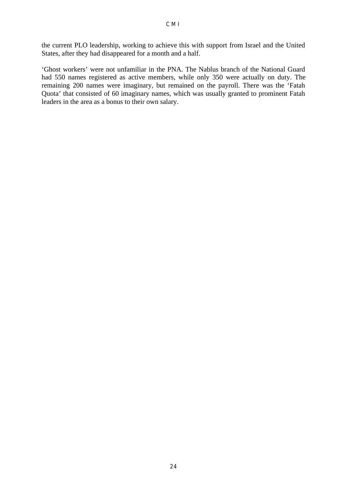the current PLO leadership, working to achieve this with support from Israel and the United States, after they had disappeared for a month and a half.

'Ghost workers' were not unfamiliar in the PNA. The Nablus branch of the National Guard had 550 names registered as active members, while only 350 were actually on duty. The remaining 200 names were imaginary, but remained on the payroll. There was the 'Fatah Quota' that consisted of 60 imaginary names, which was usually granted to prominent Fatah leaders in the area as a bonus to their own salary.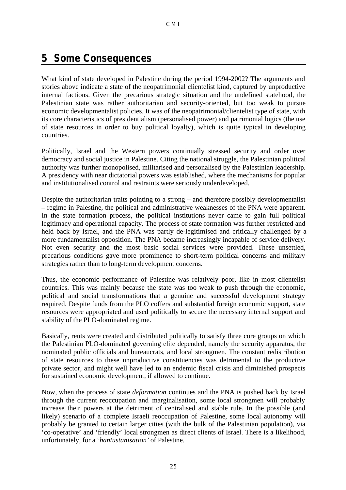## **5 Some Consequences**

What kind of state developed in Palestine during the period 1994-2002? The arguments and stories above indicate a state of the neopatrimonial clientelist kind, captured by unproductive internal factions. Given the precarious strategic situation and the undefined statehood, the Palestinian state was rather authoritarian and security-oriented, but too weak to pursue economic developmentalist policies. It was of the neopatrimonial/clientelist type of state, with its core characteristics of presidentialism (personalised power) and patrimonial logics (the use of state resources in order to buy political loyalty), which is quite typical in developing countries.

Politically, Israel and the Western powers continually stressed security and order over democracy and social justice in Palestine. Citing the national struggle, the Palestinian political authority was further monopolised, militarised and personalised by the Palestinian leadership. A presidency with near dictatorial powers was established, where the mechanisms for popular and institutionalised control and restraints were seriously underdeveloped.

Despite the authoritarian traits pointing to a strong – and therefore possibly developmentalist – regime in Palestine, the political and administrative weaknesses of the PNA were apparent. In the state formation process, the political institutions never came to gain full political legitimacy and operational capacity. The process of state formation was further restricted and held back by Israel, and the PNA was partly de-legitimised and critically challenged by a more fundamentalist opposition. The PNA became increasingly incapable of service delivery. Not even security and the most basic social services were provided. These unsettled, precarious conditions gave more prominence to short-term political concerns and military strategies rather than to long-term development concerns.

Thus, the economic performance of Palestine was relatively poor, like in most clientelist countries. This was mainly because the state was too weak to push through the economic, political and social transformations that a genuine and successful development strategy required. Despite funds from the PLO coffers and substantial foreign economic support, state resources were appropriated and used politically to secure the necessary internal support and stability of the PLO-dominated regime.

Basically, rents were created and distributed politically to satisfy three core groups on which the Palestinian PLO-dominated governing elite depended, namely the security apparatus, the nominated public officials and bureaucrats, and local strongmen. The constant redistribution of state resources to these unproductive constituencies was detrimental to the productive private sector, and might well have led to an endemic fiscal crisis and diminished prospects for sustained economic development, if allowed to continue.

Now, when the process of state *deformation* continues and the PNA is pushed back by Israel through the current reoccupation and marginalisation, some local strongmen will probably increase their powers at the detriment of centralised and stable rule. In the possible (and likely) scenario of a complete Israeli reoccupation of Palestine, some local autonomy will probably be granted to certain larger cities (with the bulk of the Palestinian population), via 'co-operative' and 'friendly' local strongmen as direct clients of Israel. There is a likelihood, unfortunately, for a '*bantustanisation'* of Palestine.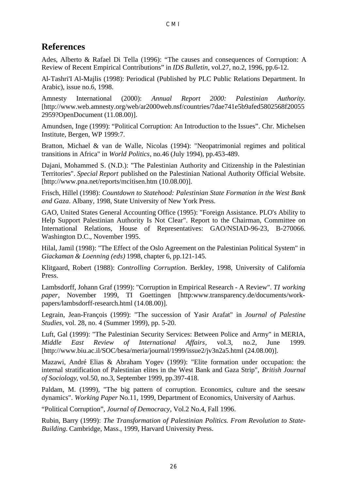#### **References**

Ades, Alberto & Rafael Di Tella (1996): "The causes and consequences of Corruption: A Review of Recent Empirical Contributions" in *IDS Bulletin*, vol.27, no.2, 1996, pp.6-12.

Al-Tashri'I Al-Majlis (1998): Periodical (Published by PLC Public Relations Department. In Arabic), issue no.6, 1998.

Amnesty International (2000): *Annual Report 2000: Palestinian Authority*. [http://www.web.amnesty.org/web/ar2000web.nsf/countries/7dae741e5b9afed5802568f20055 2959?OpenDocument (11.08.00)].

Amundsen, Inge (1999): "Political Corruption: An Introduction to the Issues". Chr. Michelsen Institute, Bergen, WP 1999:7.

Bratton, Michael & van de Walle, Nicolas (1994): "Neopatrimonial regimes and political transitions in Africa" in *World Politics*, no.46 (July 1994), pp.453-489.

Dajani, Mohammed S. (N.D.): "The Palestinian Authority and Citizenship in the Palestinian Territories". *Special Report* published on the Palestinian National Authority Official Website. [http://www.pna.net/reports/mcitisen.htm (10.08.00)].

Frisch, Hillel (1998): *Countdown to Statehood: Palestinian State Formation in the West Bank and Gaza*. Albany, 1998, State University of New York Press.

GAO, United States General Accounting Office (1995): "Foreign Assistance. PLO's Ability to Help Support Palestinian Authority Is Not Clear". Report to the Chairman, Committee on International Relations, House of Representatives: GAO/NSIAD-96-23, B-270066. Washington D.C., November 1995.

Hilal, Jamil (1998): "The Effect of the Oslo Agreement on the Palestinian Political System" in *Giackaman & Loenning (eds)* 1998, chapter 6, pp.121-145.

Klitgaard, Robert (1988): *Controlling Corruption*. Berkley, 1998, University of California Press.

Lambsdorff, Johann Graf (1999): "Corruption in Empirical Research - A Review". *TI working paper*, November 1999, TI Goettingen [http:www.transparency.de/documents/workpapers/lambsdorff-research.html (14.08.00)].

Legrain, Jean-François (1999): "The succession of Yasir Arafat" in *Journal of Palestine Studies*, vol. 28, no. 4 (Summer 1999), pp. 5-20.

Luft, Gal (1999): "The Palestinian Security Services: Between Police and Army" in MERIA, *Middle East Review of International Affairs*, vol.3, no.2, June 1999. [http://www.biu.ac.il/SOC/besa/meria/journal/1999/issue2/jv3n2a5.html (24.08.00)].

Mazawi, André Elias & Abraham Yogev (1999): "Elite formation under occupation: the internal stratification of Palestinian elites in the West Bank and Gaza Strip", *British Journal of Sociology*, vol.50, no.3, September 1999, pp.397-418.

Paldam, M. (1999), "The big pattern of corruption. Economics, culture and the seesaw dynamics". *Working Paper* No.11, 1999, Department of Economics, University of Aarhus.

"Political Corruption", *Journal of Democracy*, Vol.2 No.4, Fall 1996.

Rubin, Barry (1999): *The Transformation of Palestinian Politics. From Revolution to State-Building.* Cambridge, Mass., 1999, Harvard University Press.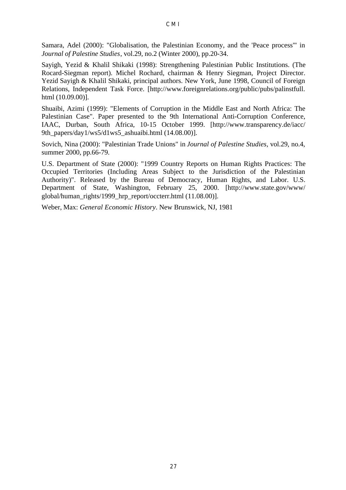Samara, Adel (2000): "Globalisation, the Palestinian Economy, and the 'Peace process'" in *Journal of Palestine Studies*, vol.29, no.2 (Winter 2000), pp.20-34.

Sayigh, Yezid & Khalil Shikaki (1998): Strengthening Palestinian Public Institutions. (The Rocard-Siegman report). Michel Rochard, chairman & Henry Siegman, Project Director. Yezid Sayigh & Khalil Shikaki, principal authors. New York, June 1998, Council of Foreign Relations, Independent Task Force. [http://www.foreignrelations.org/public/pubs/palinstfull. html (10.09.00)].

Shuaibi, Azimi (1999): "Elements of Corruption in the Middle East and North Africa: The Palestinian Case". Paper presented to the 9th International Anti-Corruption Conference, IAAC, Durban, South Africa, 10-15 October 1999. [http://www.transparency.de/iacc/ 9th\_papers/day1/ws5/d1ws5\_ashuaibi.html (14.08.00)].

Sovich, Nina (2000): "Palestinian Trade Unions" in *Journal of Palestine Studies*, vol.29, no.4, summer 2000, pp.66-79.

U.S. Department of State (2000): "1999 Country Reports on Human Rights Practices: The Occupied Territories (Including Areas Subject to the Jurisdiction of the Palestinian Authority)". Released by the Bureau of Democracy, Human Rights, and Labor. U.S. Department of State, Washington, February 25, 2000. [http://www.state.gov/www/ global/human\_rights/1999\_hrp\_report/occterr.html (11.08.00)].

Weber, Max: *General Economic History*. New Brunswick, NJ, 1981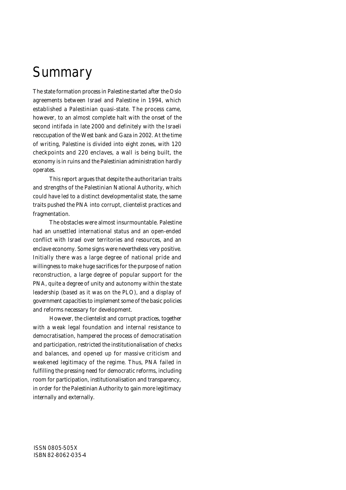# **Summary**

The state formation process in Palestine started after the Oslo agreements between Israel and Palestine in 1994, which established a Palestinian quasi-state. The process came, however, to an almost complete halt with the onset of the second *intifada* in late 2000 and definitely with the Israeli reoccupation of the West bank and Gaza in 2002. At the time of writing, Palestine is divided into eight zones, with 120 checkpoints and 220 enclaves, a wall is being built, the economy is in ruins and the Palestinian administration hardly operates.

This report argues that despite the authoritarian traits and strengths of the Palestinian National Authority, which could have led to a distinct developmentalist state, the same traits pushed the PNA into corrupt, clientelist practices and fragmentation.

The obstacles were almost insurmountable. Palestine had an unsettled international status and an open-ended conflict with Israel over territories and resources, and an enclave economy. Some signs were nevertheless very positive. Initially there was a large degree of national pride and willingness to make huge sacrifices for the purpose of nation reconstruction, a large degree of popular support for the PNA, quite a degree of unity and autonomy within the state leadership (based as it was on the PLO), and a display of government capacities to implement some of the basic policies and reforms necessary for development.

However, the clientelist and corrupt practices, together with a weak legal foundation and internal resistance to democratisation, hampered the process of democratisation and participation, restricted the institutionalisation of checks and balances, and opened up for massive criticism and weakened legitimacy of the regime. Thus, PNA failed in fulfilling the pressing need for democratic reforms, including room for participation, institutionalisation and transparency, in order for the Palestinian Authority to gain more legitimacy internally and externally.

ISSN 0805-505X ISBN 82-8062-035-4